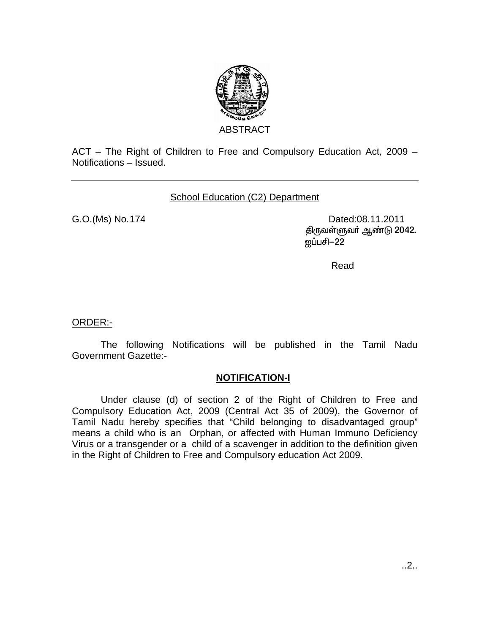

ACT – The Right of Children to Free and Compulsory Education Act, 2009 – Notifications – Issued.

School Education (C2) Department

G.O.(Ms) No.174 Dated:08.11.2011 திருவள்ளுவர் ஆண்டு 2042. ஜப்பசி−22

**Read and Security Construction of the Construction Construction Construction Construction Construction Construction** 

ORDER:-

 The following Notifications will be published in the Tamil Nadu Government Gazette:-

## **NOTIFICATION-I**

Under clause (d) of section 2 of the Right of Children to Free and Compulsory Education Act, 2009 (Central Act 35 of 2009), the Governor of Tamil Nadu hereby specifies that "Child belonging to disadvantaged group" means a child who is an Orphan, or affected with Human Immuno Deficiency Virus or a transgender or a child of a scavenger in addition to the definition given in the Right of Children to Free and Compulsory education Act 2009.